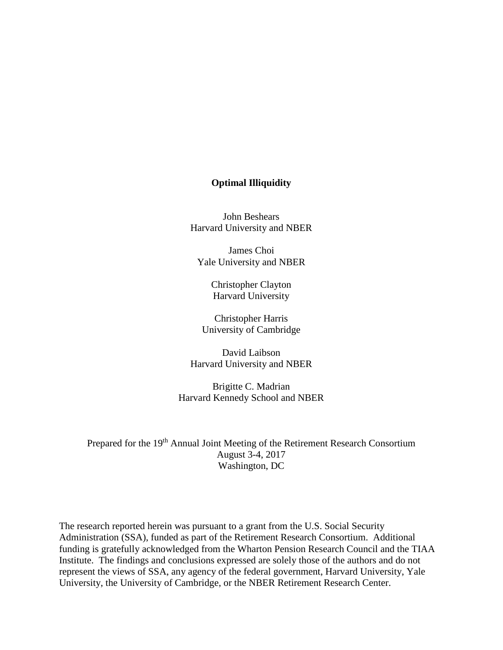## **Optimal Illiquidity**

John Beshears Harvard University and NBER

James Choi Yale University and NBER

> Christopher Clayton Harvard University

Christopher Harris University of Cambridge

David Laibson Harvard University and NBER

Brigitte C. Madrian Harvard Kennedy School and NBER

Prepared for the 19<sup>th</sup> Annual Joint Meeting of the Retirement Research Consortium August 3-4, 2017 Washington, DC

The research reported herein was pursuant to a grant from the U.S. Social Security Administration (SSA), funded as part of the Retirement Research Consortium. Additional funding is gratefully acknowledged from the Wharton Pension Research Council and the TIAA Institute. The findings and conclusions expressed are solely those of the authors and do not represent the views of SSA, any agency of the federal government, Harvard University, Yale University, the University of Cambridge, or the NBER Retirement Research Center.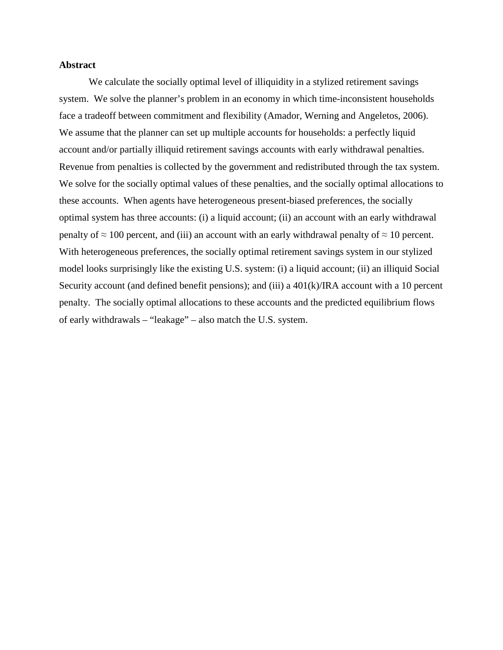### **Abstract**

We calculate the socially optimal level of illiquidity in a stylized retirement savings system. We solve the planner's problem in an economy in which time-inconsistent households face a tradeoff between commitment and flexibility (Amador, Werning and Angeletos, 2006). We assume that the planner can set up multiple accounts for households: a perfectly liquid account and/or partially illiquid retirement savings accounts with early withdrawal penalties. Revenue from penalties is collected by the government and redistributed through the tax system. We solve for the socially optimal values of these penalties, and the socially optimal allocations to these accounts. When agents have heterogeneous present-biased preferences, the socially optimal system has three accounts: (i) a liquid account; (ii) an account with an early withdrawal penalty of  $\approx 100$  percent, and (iii) an account with an early withdrawal penalty of  $\approx 10$  percent. With heterogeneous preferences, the socially optimal retirement savings system in our stylized model looks surprisingly like the existing U.S. system: (i) a liquid account; (ii) an illiquid Social Security account (and defined benefit pensions); and (iii) a 401(k)/IRA account with a 10 percent penalty. The socially optimal allocations to these accounts and the predicted equilibrium flows of early withdrawals – "leakage" – also match the U.S. system.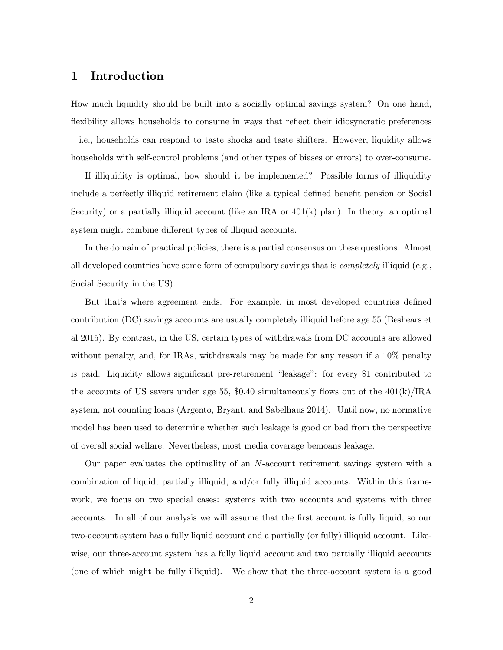### 1 Introduction

How much liquidity should be built into a socially optimal savings system? On one hand, flexibility allows households to consume in ways that reflect their idiosyncratic preferences — i.e., households can respond to taste shocks and taste shifters. However, liquidity allows households with self-control problems (and other types of biases or errors) to over-consume.

If illiquidity is optimal, how should it be implemented? Possible forms of illiquidity include a perfectly illiquid retirement claim (like a typical defined benefit pension or Social Security) or a partially illiquid account (like an IRA or  $401(k)$  plan). In theory, an optimal system might combine different types of illiquid accounts.

In the domain of practical policies, there is a partial consensus on these questions. Almost all developed countries have some form of compulsory savings that is *completely* illiquid (e.g., Social Security in the US).

But that's where agreement ends. For example, in most developed countries defined contribution (DC) savings accounts are usually completely illiquid before age 55 (Beshears et al 2015). By contrast, in the US, certain types of withdrawals from DC accounts are allowed without penalty, and, for IRAs, withdrawals may be made for any reason if a  $10\%$  penalty is paid. Liquidity allows significant pre-retirement "leakage": for every \$1 contributed to the accounts of US savers under age 55, \$0.40 simultaneously flows out of the  $401(k)/\text{IRA}$ system, not counting loans (Argento, Bryant, and Sabelhaus 2014). Until now, no normative model has been used to determine whether such leakage is good or bad from the perspective of overall social welfare. Nevertheless, most media coverage bemoans leakage.

Our paper evaluates the optimality of an  $N$ -account retirement savings system with a combination of liquid, partially illiquid, and/or fully illiquid accounts. Within this framework, we focus on two special cases: systems with two accounts and systems with three accounts. In all of our analysis we will assume that the first account is fully liquid, so our two-account system has a fully liquid account and a partially (or fully) illiquid account. Likewise, our three-account system has a fully liquid account and two partially illiquid accounts (one of which might be fully illiquid). We show that the three-account system is a good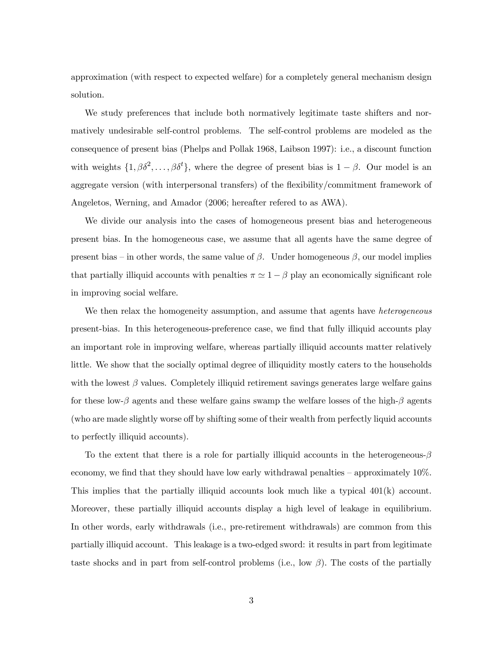approximation (with respect to expected welfare) for a completely general mechanism design solution.

We study preferences that include both normatively legitimate taste shifters and normatively undesirable self-control problems. The self-control problems are modeled as the consequence of present bias (Phelps and Pollak 1968, Laibson 1997): i.e., a discount function with weights  $\{1, \beta\delta^2, \dots, \beta\delta^t\}$ , where the degree of present bias is  $1 - \beta$ . Our model is an aggregate version (with interpersonal transfers) of the flexibility/commitment framework of Angeletos, Werning, and Amador (2006; hereafter refered to as AWA).

We divide our analysis into the cases of homogeneous present bias and heterogeneous present bias. In the homogeneous case, we assume that all agents have the same degree of present bias – in other words, the same value of  $\beta$ . Under homogeneous  $\beta$ , our model implies that partially illiquid accounts with penalties  $\pi \simeq 1 - \beta$  play an economically significant role in improving social welfare.

We then relax the homogeneity assumption, and assume that agents have *heterogeneous* present-bias. In this heterogeneous-preference case, we find that fully illiquid accounts play an important role in improving welfare, whereas partially illiquid accounts matter relatively little. We show that the socially optimal degree of illiquidity mostly caters to the households with the lowest  $\beta$  values. Completely illiquid retirement savings generates large welfare gains for these low- $\beta$  agents and these welfare gains swamp the welfare losses of the high- $\beta$  agents (who are made slightly worse off by shifting some of their wealth from perfectly liquid accounts to perfectly illiquid accounts).

To the extent that there is a role for partially illiquid accounts in the heterogeneous- $\beta$ economy, we find that they should have low early withdrawal penalties — approximately 10%. This implies that the partially illiquid accounts look much like a typical 401(k) account. Moreover, these partially illiquid accounts display a high level of leakage in equilibrium. In other words, early withdrawals (i.e., pre-retirement withdrawals) are common from this partially illiquid account. This leakage is a two-edged sword: it results in part from legitimate taste shocks and in part from self-control problems (i.e., low  $\beta$ ). The costs of the partially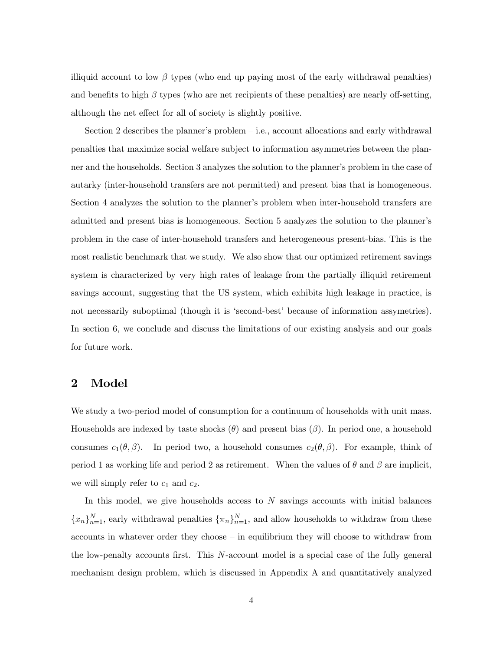illiquid account to low  $\beta$  types (who end up paying most of the early withdrawal penalties) and benefits to high  $\beta$  types (who are net recipients of these penalties) are nearly off-setting, although the net effect for all of society is slightly positive.

Section 2 describes the planner's problem — i.e., account allocations and early withdrawal penalties that maximize social welfare subject to information asymmetries between the planner and the households. Section 3 analyzes the solution to the planner's problem in the case of autarky (inter-household transfers are not permitted) and present bias that is homogeneous. Section 4 analyzes the solution to the planner's problem when inter-household transfers are admitted and present bias is homogeneous. Section 5 analyzes the solution to the planner's problem in the case of inter-household transfers and heterogeneous present-bias. This is the most realistic benchmark that we study. We also show that our optimized retirement savings system is characterized by very high rates of leakage from the partially illiquid retirement savings account, suggesting that the US system, which exhibits high leakage in practice, is not necessarily suboptimal (though it is 'second-best' because of information assymetries). In section 6, we conclude and discuss the limitations of our existing analysis and our goals for future work.

### 2 Model

We study a two-period model of consumption for a continuum of households with unit mass. Households are indexed by taste shocks  $(\theta)$  and present bias  $(\beta)$ . In period one, a household consumes  $c_1(\theta, \beta)$ . In period two, a household consumes  $c_2(\theta, \beta)$ . For example, think of period 1 as working life and period 2 as retirement. When the values of  $\theta$  and  $\beta$  are implicit, we will simply refer to  $c_1$  and  $c_2$ .

In this model, we give households access to  $N$  savings accounts with initial balances  ${x_n}_{n=1}^N$ , early withdrawal penalties  ${\{\pi_n\}}_{n=1}^N$ , and allow households to withdraw from these accounts in whatever order they choose — in equilibrium they will choose to withdraw from the low-penalty accounts first. This  $N$ -account model is a special case of the fully general mechanism design problem, which is discussed in Appendix A and quantitatively analyzed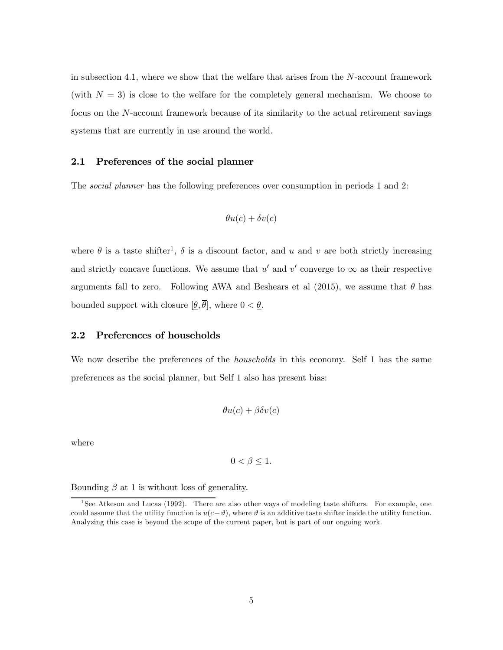in subsection 4.1, where we show that the welfare that arises from the  $N$ -account framework (with  $N = 3$ ) is close to the welfare for the completely general mechanism. We choose to focus on the  $N$ -account framework because of its similarity to the actual retirement savings systems that are currently in use around the world.

### 2.1 Preferences of the social planner

The social planner has the following preferences over consumption in periods 1 and 2:

$$
\theta u(c)+\delta v(c)
$$

where  $\theta$  is a taste shifter<sup>1</sup>,  $\delta$  is a discount factor, and  $u$  and  $v$  are both strictly increasing and strictly concave functions. We assume that  $u'$  and  $v'$  converge to  $\infty$  as their respective arguments fall to zero. Following AWA and Beshears et al  $(2015)$ , we assume that  $\theta$  has bounded support with closure  $[\underline{\theta}, \overline{\theta}]$ , where  $0 < \underline{\theta}$ .

#### 2.2 Preferences of households

We now describe the preferences of the *households* in this economy. Self 1 has the same preferences as the social planner, but Self 1 also has present bias:

$$
\theta u(c) + \beta \delta v(c)
$$

where

$$
0 < \beta \leq 1.
$$

Bounding  $\beta$  at 1 is without loss of generality.

<sup>&</sup>lt;sup>1</sup>See Atkeson and Lucas (1992). There are also other ways of modeling taste shifters. For example, one could assume that the utility function is  $u(c-\vartheta)$ , where  $\vartheta$  is an additive taste shifter inside the utility function. Analyzing this case is beyond the scope of the current paper, but is part of our ongoing work.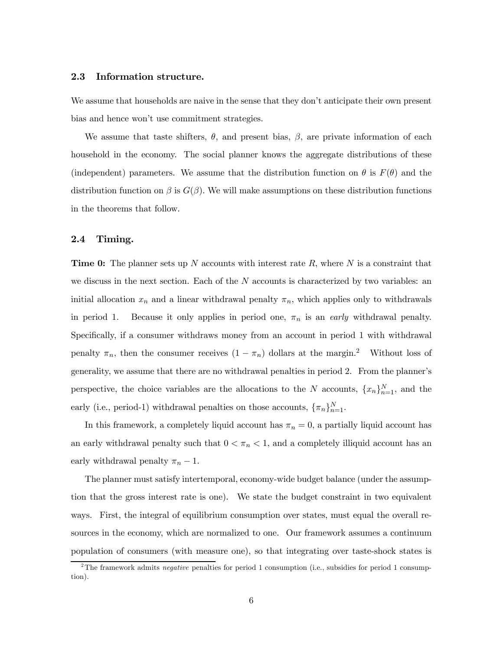#### 2.3 Information structure.

We assume that households are naive in the sense that they don't anticipate their own present bias and hence won't use commitment strategies.

We assume that taste shifters,  $\theta$ , and present bias,  $\beta$ , are private information of each household in the economy. The social planner knows the aggregate distributions of these (independent) parameters. We assume that the distribution function on  $\theta$  is  $F(\theta)$  and the distribution function on  $\beta$  is  $G(\beta)$ . We will make assumptions on these distribution functions in the theorems that follow.

### 2.4 Timing.

**Time 0:** The planner sets up N accounts with interest rate R, where N is a constraint that we discuss in the next section. Each of the  $N$  accounts is characterized by two variables: an initial allocation  $x_n$  and a linear withdrawal penalty  $\pi_n$ , which applies only to withdrawals in period 1. Because it only applies in period one,  $\pi_n$  is an early withdrawal penalty. Specifically, if a consumer withdraws money from an account in period 1 with withdrawal penalty  $\pi_n$ , then the consumer receives  $(1 - \pi_n)$  dollars at the margin.<sup>2</sup> Without loss of generality, we assume that there are no withdrawal penalties in period 2. From the planner's perspective, the choice variables are the allocations to the N accounts,  ${x_n}_{n=1}^N$ , and the early (i.e., period-1) withdrawal penalties on those accounts,  $\{\pi_n\}_{n=1}^N$ .

In this framework, a completely liquid account has  $\pi_n = 0$ , a partially liquid account has an early withdrawal penalty such that  $0 < \pi_n < 1$ , and a completely illiquid account has an early withdrawal penalty  $\pi_n - 1$ .

The planner must satisfy intertemporal, economy-wide budget balance (under the assumption that the gross interest rate is one). We state the budget constraint in two equivalent ways. First, the integral of equilibrium consumption over states, must equal the overall resources in the economy, which are normalized to one. Our framework assumes a continuum population of consumers (with measure one), so that integrating over taste-shock states is

<sup>&</sup>lt;sup>2</sup>The framework admits *negative* penalties for period 1 consumption (i.e., subsidies for period 1 consumption).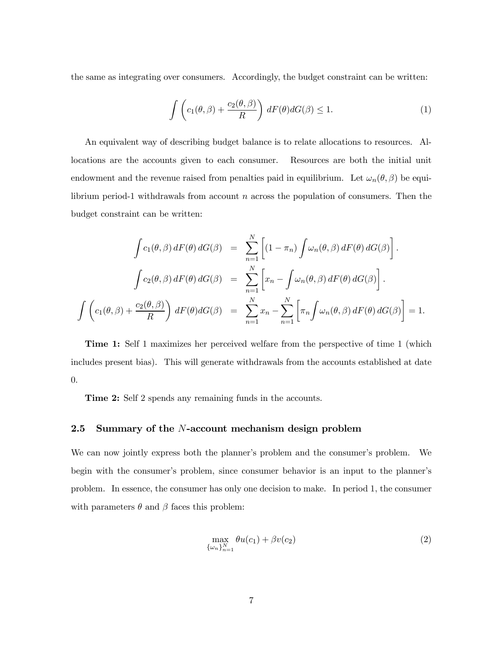the same as integrating over consumers. Accordingly, the budget constraint can be written:

$$
\int \left( c_1(\theta, \beta) + \frac{c_2(\theta, \beta)}{R} \right) dF(\theta) dG(\beta) \le 1.
$$
 (1)

An equivalent way of describing budget balance is to relate allocations to resources. Allocations are the accounts given to each consumer. Resources are both the initial unit endowment and the revenue raised from penalties paid in equilibrium. Let  $\omega_n(\theta, \beta)$  be equilibrium period-1 withdrawals from account  $n$  across the population of consumers. Then the budget constraint can be written:

$$
\int c_1(\theta,\beta) dF(\theta) dG(\beta) = \sum_{n=1}^N \left[ (1 - \pi_n) \int \omega_n(\theta,\beta) dF(\theta) dG(\beta) \right].
$$

$$
\int c_2(\theta,\beta) dF(\theta) dG(\beta) = \sum_{n=1}^N \left[ x_n - \int \omega_n(\theta,\beta) dF(\theta) dG(\beta) \right].
$$

$$
\int \left( c_1(\theta,\beta) + \frac{c_2(\theta,\beta)}{R} \right) dF(\theta) dG(\beta) = \sum_{n=1}^N x_n - \sum_{n=1}^N \left[ \pi_n \int \omega_n(\theta,\beta) dF(\theta) dG(\beta) \right] = 1.
$$

Time 1: Self 1 maximizes her perceived welfare from the perspective of time 1 (which includes present bias). This will generate withdrawals from the accounts established at date 0.

Time 2: Self 2 spends any remaining funds in the accounts.

### 2.5 Summary of the  $N$ -account mechanism design problem

We can now jointly express both the planner's problem and the consumer's problem. We begin with the consumer's problem, since consumer behavior is an input to the planner's problem. In essence, the consumer has only one decision to make. In period 1, the consumer with parameters  $\theta$  and  $\beta$  faces this problem:

$$
\max_{\{\omega_n\}_{n=1}^N} \theta u(c_1) + \beta v(c_2) \tag{2}
$$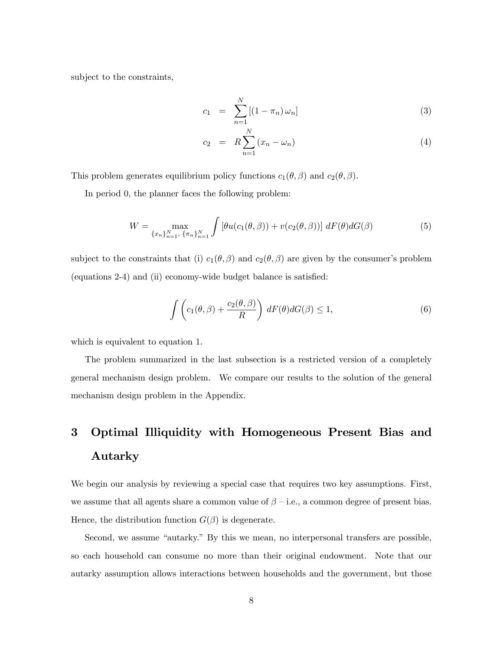subject to the constraints,

$$
c_1 = \sum_{n=1}^{N} [(1 - \pi_n) \omega_n]
$$
 (3)

$$
c_2 = R \sum_{n=1}^{N} (x_n - \omega_n)
$$
 (4)

This problem generates equilibrium policy functions  $c_1(\theta, \beta)$  and  $c_2(\theta, \beta)$ .

In period 0, the planner faces the following problem:

$$
W = \max_{\{x_n\}_{n=1}^N, \ \{\pi_n\}_{n=1}^N} \int \left[\theta u(c_1(\theta, \beta)) + v(c_2(\theta, \beta))\right] dF(\theta) dG(\beta)
$$
(5)

subject to the constraints that (i)  $c_1(\theta, \beta)$  and  $c_2(\theta, \beta)$  are given by the consumer's problem (equations 2-4) and (ii) economy-wide budget balance is satisfied:

$$
\int \left( c_1(\theta, \beta) + \frac{c_2(\theta, \beta)}{R} \right) dF(\theta) dG(\beta) \le 1,
$$
\n(6)

which is equivalent to equation 1.

The problem summarized in the last subsection is a restricted version of a completely general mechanism design problem. We compare our results to the solution of the general mechanism design problem in the Appendix.

# 3 Optimal Illiquidity with Homogeneous Present Bias and Autarky

We begin our analysis by reviewing a special case that requires two key assumptions. First, we assume that all agents share a common value of  $\beta$  – i.e., a common degree of present bias. Hence, the distribution function  $G(\beta)$  is degenerate.

Second, we assume "autarky." By this we mean, no interpersonal transfers are possible, so each household can consume no more than their original endowment. Note that our autarky assumption allows interactions between households and the government, but those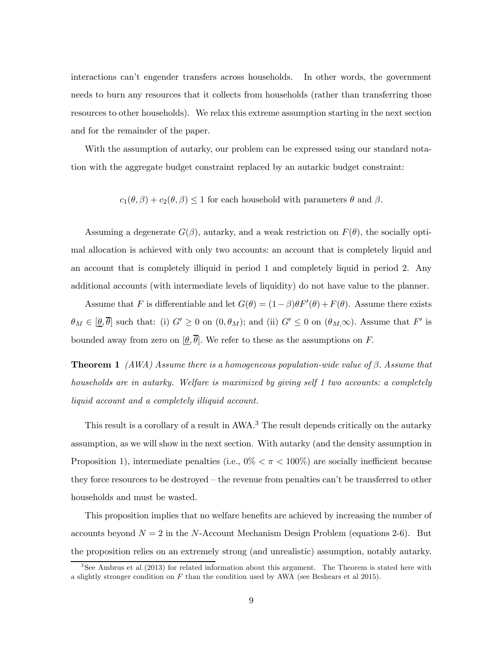interactions can't engender transfers across households. In other words, the government needs to burn any resources that it collects from households (rather than transferring those resources to other households). We relax this extreme assumption starting in the next section and for the remainder of the paper.

With the assumption of autarky, our problem can be expressed using our standard notation with the aggregate budget constraint replaced by an autarkic budget constraint:

 $c_1(\theta, \beta) + c_2(\theta, \beta) \leq 1$  for each household with parameters  $\theta$  and  $\beta$ .

Assuming a degenerate  $G(\beta)$ , autarky, and a weak restriction on  $F(\theta)$ , the socially optimal allocation is achieved with only two accounts: an account that is completely liquid and an account that is completely illiquid in period 1 and completely liquid in period 2. Any additional accounts (with intermediate levels of liquidity) do not have value to the planner.

Assume that F is differentiable and let  $G(\theta) = (1 - \beta)\theta F'(\theta) + F(\theta)$ . Assume there exists  $\theta_M \in [\underline{\theta}, \overline{\theta}]$  such that: (i)  $G' \geq 0$  on  $(0, \theta_M)$ ; and (ii)  $G' \leq 0$  on  $(\theta_M, \infty)$ . Assume that  $F'$  is bounded away from zero on  $[\underline{\theta}, \overline{\theta}]$ . We refer to these as the assumptions on F.

**Theorem 1** (AWA) Assume there is a homogeneous population-wide value of  $\beta$ . Assume that households are in autarky. Welfare is maximized by giving self 1 two accounts: a completely liquid account and a completely illiquid account.

This result is a corollary of a result in AWA.<sup>3</sup> The result depends critically on the autarky assumption, as we will show in the next section. With autarky (and the density assumption in Proposition 1), intermediate penalties (i.e.,  $0\% < \pi < 100\%$ ) are socially inefficient because they force resources to be destroyed — the revenue from penalties can't be transferred to other households and must be wasted.

This proposition implies that no welfare benefits are achieved by increasing the number of accounts beyond  $N = 2$  in the N-Account Mechanism Design Problem (equations 2-6). But the proposition relies on an extremely strong (and unrealistic) assumption, notably autarky.

<sup>3</sup>See Ambrus et al (2013) for related information about this argument. The Theorem is stated here with a slightly stronger condition on  $F$  than the condition used by AWA (see Beshears et al 2015).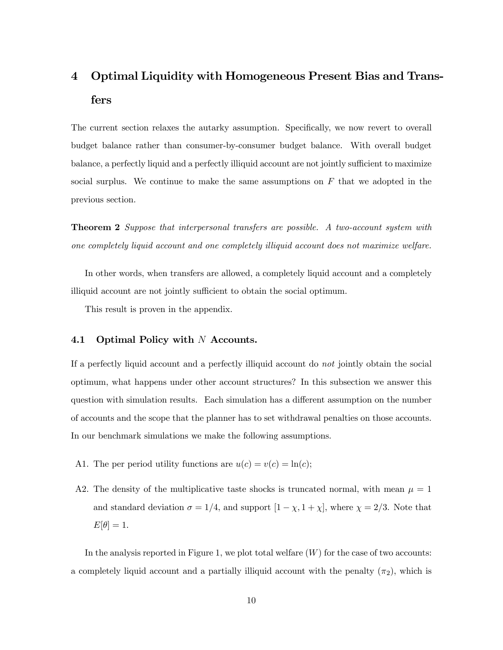# 4 Optimal Liquidity with Homogeneous Present Bias and Transfers

The current section relaxes the autarky assumption. Specifically, we now revert to overall budget balance rather than consumer-by-consumer budget balance. With overall budget balance, a perfectly liquid and a perfectly illiquid account are not jointly sufficient to maximize social surplus. We continue to make the same assumptions on  $F$  that we adopted in the previous section

Theorem 2 Suppose that interpersonal transfers are possible. A two-account system with one completely liquid account and one completely illiquid account does not maximize welfare.

In other words, when transfers are allowed, a completely liquid account and a completely illiquid account are not jointly sufficient to obtain the social optimum.

This result is proven in the appendix.

#### 4.1 Optimal Policy with  $N$  Accounts.

If a perfectly liquid account and a perfectly illiquid account do not jointly obtain the social optimum, what happens under other account structures? In this subsection we answer this question with simulation results. Each simulation has a different assumption on the number of accounts and the scope that the planner has to set withdrawal penalties on those accounts. In our benchmark simulations we make the following assumptions.

- A1. The per period utility functions are  $u(c) = v(c) = \ln(c);$
- A2. The density of the multiplicative taste shocks is truncated normal, with mean  $\mu = 1$ and standard deviation  $\sigma = 1/4$ , and support  $[1 - \chi, 1 + \chi]$ , where  $\chi = 2/3$ . Note that  $E[\theta]=1.$

In the analysis reported in Figure 1, we plot total welfare  $(W)$  for the case of two accounts: a completely liquid account and a partially illiquid account with the penalty  $(\pi_2)$ , which is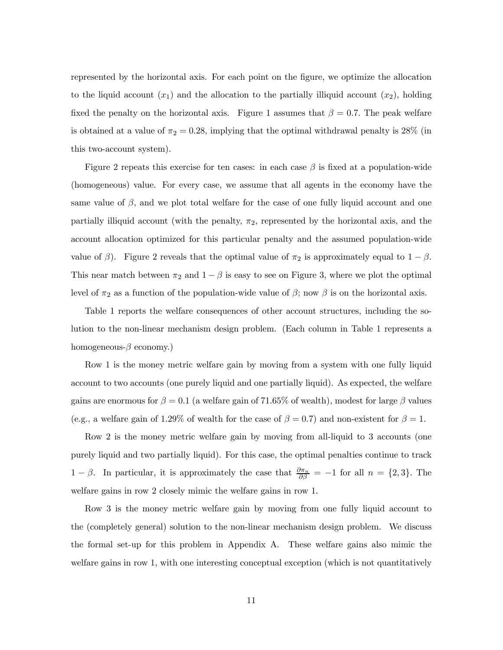represented by the horizontal axis. For each point on the figure, we optimize the allocation to the liquid account  $(x_1)$  and the allocation to the partially illiquid account  $(x_2)$ , holding fixed the penalty on the horizontal axis. Figure 1 assumes that  $\beta = 0.7$ . The peak welfare is obtained at a value of  $\pi_2 = 0.28$ , implying that the optimal withdrawal penalty is 28% (in this two-account system).

Figure 2 repeats this exercise for ten cases: in each case  $\beta$  is fixed at a population-wide (homogeneous) value. For every case, we assume that all agents in the economy have the same value of  $\beta$ , and we plot total welfare for the case of one fully liquid account and one partially illiquid account (with the penalty,  $\pi_2$ , represented by the horizontal axis, and the account allocation optimized for this particular penalty and the assumed population-wide value of  $\beta$ ). Figure 2 reveals that the optimal value of  $\pi_2$  is approximately equal to  $1 - \beta$ . This near match between  $\pi_2$  and  $1 - \beta$  is easy to see on Figure 3, where we plot the optimal level of  $\pi_2$  as a function of the population-wide value of  $\beta$ ; now  $\beta$  is on the horizontal axis.

Table 1 reports the welfare consequences of other account structures, including the solution to the non-linear mechanism design problem. (Each column in Table 1 represents a homogeneous- $\beta$  economy.)

Row 1 is the money metric welfare gain by moving from a system with one fully liquid account to two accounts (one purely liquid and one partially liquid). As expected, the welfare gains are enormous for  $\beta = 0.1$  (a welfare gain of 71.65% of wealth), modest for large  $\beta$  values (e.g., a welfare gain of 1.29% of wealth for the case of  $\beta = 0.7$ ) and non-existent for  $\beta = 1$ .

Row 2 is the money metric welfare gain by moving from all-liquid to 3 accounts (one purely liquid and two partially liquid). For this case, the optimal penalties continue to track  $1 - \beta$ . In particular, it is approximately the case that  $\frac{\partial \pi_n}{\partial \beta} = -1$  for all  $n = \{2, 3\}$ . The welfare gains in row 2 closely mimic the welfare gains in row 1.

Row 3 is the money metric welfare gain by moving from one fully liquid account to the (completely general) solution to the non-linear mechanism design problem. We discuss the formal set-up for this problem in Appendix A. These welfare gains also mimic the welfare gains in row 1, with one interesting conceptual exception (which is not quantitatively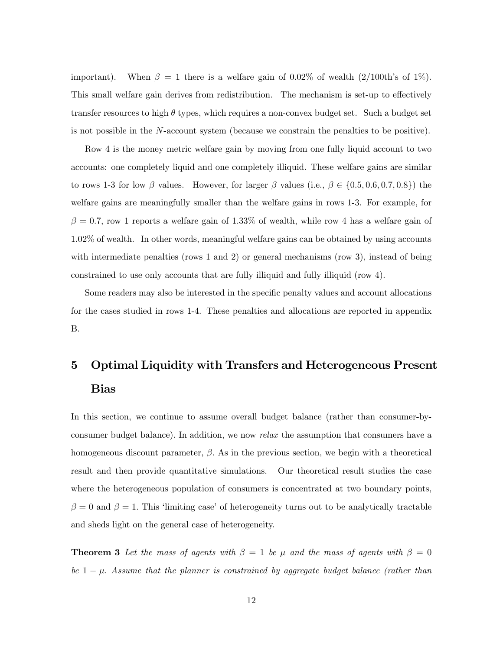important). When  $\beta = 1$  there is a welfare gain of 0.02% of wealth (2/100th's of 1%). This small welfare gain derives from redistribution. The mechanism is set-up to effectively transfer resources to high  $\theta$  types, which requires a non-convex budget set. Such a budget set is not possible in the  $N$ -account system (because we constrain the penalties to be positive).

Row 4 is the money metric welfare gain by moving from one fully liquid account to two accounts: one completely liquid and one completely illiquid. These welfare gains are similar to rows 1-3 for low  $\beta$  values. However, for larger  $\beta$  values (i.e.,  $\beta \in \{0.5, 0.6, 0.7, 0.8\}$ ) the welfare gains are meaningfully smaller than the welfare gains in rows 1-3. For example, for  $\beta = 0.7$ , row 1 reports a welfare gain of 1.33% of wealth, while row 4 has a welfare gain of 1.02% of wealth. In other words, meaningful welfare gains can be obtained by using accounts with intermediate penalties (rows 1 and 2) or general mechanisms (row 3), instead of being constrained to use only accounts that are fully illiquid and fully illiquid (row 4).

Some readers may also be interested in the specific penalty values and account allocations for the cases studied in rows 1-4. These penalties and allocations are reported in appendix B.

# 5 Optimal Liquidity with Transfers and Heterogeneous Present Bias

In this section, we continue to assume overall budget balance (rather than consumer-byconsumer budget balance). In addition, we now relax the assumption that consumers have a homogeneous discount parameter,  $\beta$ . As in the previous section, we begin with a theoretical result and then provide quantitative simulations. Our theoretical result studies the case where the heterogeneous population of consumers is concentrated at two boundary points,  $\beta = 0$  and  $\beta = 1$ . This 'limiting case' of heterogeneity turns out to be analytically tractable and sheds light on the general case of heterogeneity.

**Theorem 3** Let the mass of agents with  $\beta = 1$  be  $\mu$  and the mass of agents with  $\beta = 0$ be  $1 - \mu$ . Assume that the planner is constrained by aggregate budget balance (rather than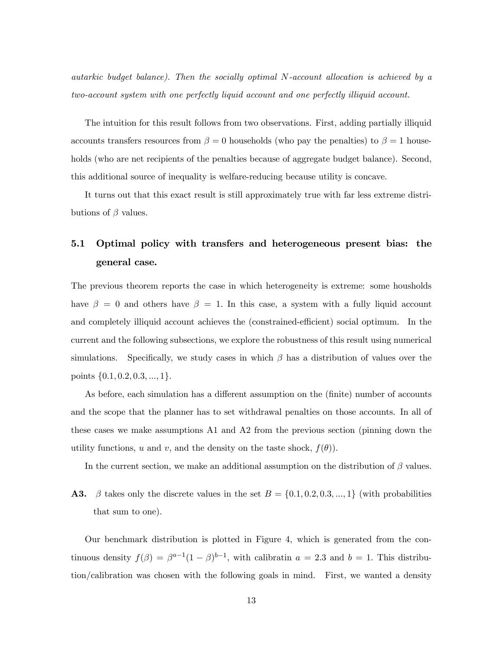autarkic budget balance). Then the socially optimal  $N$ -account allocation is achieved by a two-account system with one perfectly liquid account and one perfectly illiquid account.

The intuition for this result follows from two observations. First, adding partially illiquid accounts transfers resources from  $\beta = 0$  households (who pay the penalties) to  $\beta = 1$  households (who are net recipients of the penalties because of aggregate budget balance). Second, this additional source of inequality is welfare-reducing because utility is concave.

It turns out that this exact result is still approximately true with far less extreme distributions of  $\beta$  values.

# 5.1 Optimal policy with transfers and heterogeneous present bias: the general case.

The previous theorem reports the case in which heterogeneity is extreme: some housholds have  $\beta = 0$  and others have  $\beta = 1$ . In this case, a system with a fully liquid account and completely illiquid account achieves the (constrained-efficient) social optimum. In the current and the following subsections, we explore the robustness of this result using numerical simulations. Specifically, we study cases in which  $\beta$  has a distribution of values over the points  $\{0.1, 0.2, 0.3, ..., 1\}.$ 

As before, each simulation has a different assumption on the (finite) number of accounts and the scope that the planner has to set withdrawal penalties on those accounts. In all of these cases we make assumptions A1 and A2 from the previous section (pinning down the utility functions, u and v, and the density on the taste shock,  $f(\theta)$ .

In the current section, we make an additional assumption on the distribution of  $\beta$  values.

**A3.**  $\beta$  takes only the discrete values in the set  $B = \{0.1, 0.2, 0.3, ..., 1\}$  (with probabilities that sum to one).

Our benchmark distribution is plotted in Figure 4, which is generated from the continuous density  $f(\beta) = \beta^{a-1}(1-\beta)^{b-1}$ , with calibratin  $a = 2.3$  and  $b = 1$ . This distribution/calibration was chosen with the following goals in mind. First, we wanted a density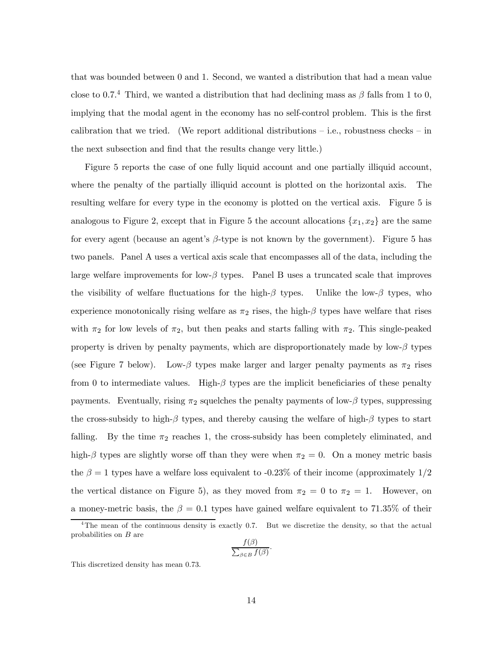that was bounded between 0 and 1. Second, we wanted a distribution that had a mean value close to 0.7.<sup>4</sup> Third, we wanted a distribution that had declining mass as  $\beta$  falls from 1 to 0, implying that the modal agent in the economy has no self-control problem. This is the first calibration that we tried. (We report additional distributions  $-$  i.e., robustness checks  $-$  in the next subsection and find that the results change very little.)

Figure 5 reports the case of one fully liquid account and one partially illiquid account, where the penalty of the partially illiquid account is plotted on the horizontal axis. The resulting welfare for every type in the economy is plotted on the vertical axis. Figure 5 is analogous to Figure 2, except that in Figure 5 the account allocations  $\{x_1, x_2\}$  are the same for every agent (because an agent's  $\beta$ -type is not known by the government). Figure 5 has two panels. Panel A uses a vertical axis scale that encompasses all of the data, including the large welfare improvements for low- $\beta$  types. Panel B uses a truncated scale that improves the visibility of welfare fluctuations for the high- $\beta$  types. Unlike the low- $\beta$  types, who experience monotonically rising welfare as  $\pi_2$  rises, the high- $\beta$  types have welfare that rises with  $\pi_2$  for low levels of  $\pi_2$ , but then peaks and starts falling with  $\pi_2$ . This single-peaked property is driven by penalty payments, which are disproportionately made by low- $\beta$  types (see Figure 7 below). Low- $\beta$  types make larger and larger penalty payments as  $\pi_2$  rises from 0 to intermediate values. High- $\beta$  types are the implicit beneficiaries of these penalty payments. Eventually, rising  $\pi_2$  squelches the penalty payments of low- $\beta$  types, suppressing the cross-subsidy to high- $\beta$  types, and thereby causing the welfare of high- $\beta$  types to start falling. By the time  $\pi_2$  reaches 1, the cross-subsidy has been completely eliminated, and high- $\beta$  types are slightly worse off than they were when  $\pi_2 = 0$ . On a money metric basis the  $\beta = 1$  types have a welfare loss equivalent to -0.23% of their income (approximately 1/2) the vertical distance on Figure 5), as they moved from  $\pi_2 = 0$  to  $\pi_2 = 1$ . However, on a money-metric basis, the  $\beta = 0.1$  types have gained welfare equivalent to 71.35% of their

$$
\frac{f(\beta)}{\sum_{\beta \in B} f(\beta)}
$$

 $\ddot{\phantom{0}}$ 

This discretized density has mean 0.73.

<sup>&</sup>lt;sup>4</sup>The mean of the continuous density is exactly 0.7. But we discretize the density, so that the actual probabilities on  $B$  are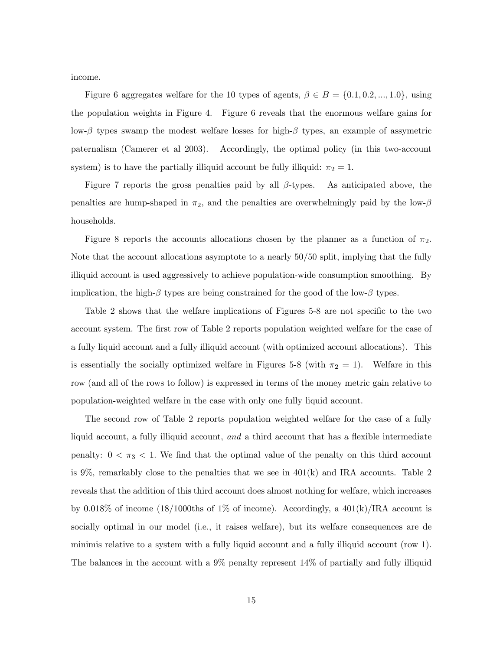income.

Figure 6 aggregates welfare for the 10 types of agents,  $\beta \in B = \{0.1, 0.2, ..., 1.0\}$ , using the population weights in Figure 4. Figure 6 reveals that the enormous welfare gains for low- $\beta$  types swamp the modest welfare losses for high- $\beta$  types, an example of assymetric paternalism (Camerer et al 2003). Accordingly, the optimal policy (in this two-account system) is to have the partially illiquid account be fully illiquid:  $\pi_2 = 1$ .

Figure 7 reports the gross penalties paid by all  $\beta$ -types. As anticipated above, the penalties are hump-shaped in  $\pi_2$ , and the penalties are overwhelmingly paid by the low- $\beta$ households.

Figure 8 reports the accounts allocations chosen by the planner as a function of  $\pi_2$ . Note that the account allocations asymptote to a nearly 50/50 split, implying that the fully illiquid account is used aggressively to achieve population-wide consumption smoothing. By implication, the high- $\beta$  types are being constrained for the good of the low- $\beta$  types.

Table 2 shows that the welfare implications of Figures 5-8 are not specific to the two account system. The first row of Table 2 reports population weighted welfare for the case of a fully liquid account and a fully illiquid account (with optimized account allocations). This is essentially the socially optimized welfare in Figures 5-8 (with  $\pi_2 = 1$ ). Welfare in this row (and all of the rows to follow) is expressed in terms of the money metric gain relative to population-weighted welfare in the case with only one fully liquid account.

The second row of Table 2 reports population weighted welfare for the case of a fully liquid account, a fully illiquid account, and a third account that has a flexible intermediate penalty:  $0 < \pi_3 < 1$ . We find that the optimal value of the penalty on this third account is  $9\%$ , remarkably close to the penalties that we see in  $401(k)$  and IRA accounts. Table 2 reveals that the addition of this third account does almost nothing for welfare, which increases by 0.018% of income (18/1000ths of 1% of income). Accordingly, a  $401(k)/\text{IRA}$  account is socially optimal in our model (i.e., it raises welfare), but its welfare consequences are de minimis relative to a system with a fully liquid account and a fully illiquid account (row 1). The balances in the account with a 9% penalty represent 14% of partially and fully illiquid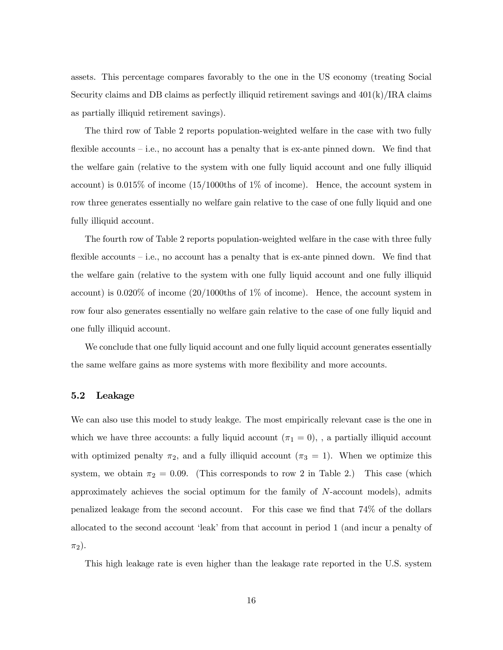assets. This percentage compares favorably to the one in the US economy (treating Social Security claims and DB claims as perfectly illiquid retirement savings and  $401(k)/\text{IRA}$  claims as partially illiquid retirement savings).

The third row of Table 2 reports population-weighted welfare in the case with two fully flexible accounts — i.e., no account has a penalty that is ex-ante pinned down. We find that the welfare gain (relative to the system with one fully liquid account and one fully illiquid account) is 0.015% of income (15/1000ths of 1% of income). Hence, the account system in row three generates essentially no welfare gain relative to the case of one fully liquid and one fully illiquid account.

The fourth row of Table 2 reports population-weighted welfare in the case with three fully flexible accounts — i.e., no account has a penalty that is ex-ante pinned down. We find that the welfare gain (relative to the system with one fully liquid account and one fully illiquid account) is 0.020% of income (20/1000ths of 1% of income). Hence, the account system in row four also generates essentially no welfare gain relative to the case of one fully liquid and one fully illiquid account.

We conclude that one fully liquid account and one fully liquid account generates essentially the same welfare gains as more systems with more flexibility and more accounts.

#### 5.2 Leakage

We can also use this model to study leakge. The most empirically relevant case is the one in which we have three accounts: a fully liquid account  $(\pi_1 = 0)$ , , a partially illiquid account with optimized penalty  $\pi_2$ , and a fully illiquid account  $(\pi_3 = 1)$ . When we optimize this system, we obtain  $\pi_2 = 0.09$ . (This corresponds to row 2 in Table 2.) This case (which approximately achieves the social optimum for the family of  $N$ -account models), admits penalized leakage from the second account. For this case we find that 74% of the dollars allocated to the second account 'leak' from that account in period 1 (and incur a penalty of  $\pi_2$ ).

This high leakage rate is even higher than the leakage rate reported in the U.S. system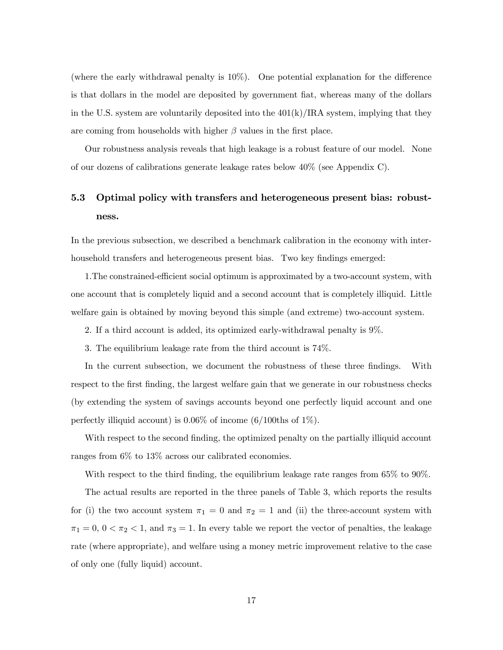(where the early withdrawal penalty is 10%). One potential explanation for the difference is that dollars in the model are deposited by government fiat, whereas many of the dollars in the U.S. system are voluntarily deposited into the  $401(k)/IRA$  system, implying that they are coming from households with higher  $\beta$  values in the first place.

Our robustness analysis reveals that high leakage is a robust feature of our model. None of our dozens of calibrations generate leakage rates below 40% (see Appendix C).

## 5.3 Optimal policy with transfers and heterogeneous present bias: robustness.

In the previous subsection, we described a benchmark calibration in the economy with interhousehold transfers and heterogeneous present bias. Two key findings emerged:

1.The constrained-efficient social optimum is approximated by a two-account system, with one account that is completely liquid and a second account that is completely illiquid. Little welfare gain is obtained by moving beyond this simple (and extreme) two-account system.

- 2. If a third account is added, its optimized early-withdrawal penalty is 9%.
- 3. The equilibrium leakage rate from the third account is 74%.

In the current subsection, we document the robustness of these three findings. With respect to the first finding, the largest welfare gain that we generate in our robustness checks (by extending the system of savings accounts beyond one perfectly liquid account and one perfectly illiquid account) is  $0.06\%$  of income  $(6/100$ ths of  $1\%$ ).

With respect to the second finding, the optimized penalty on the partially illiquid account ranges from 6% to 13% across our calibrated economies.

With respect to the third finding, the equilibrium leakage rate ranges from 65% to 90%.

The actual results are reported in the three panels of Table 3, which reports the results for (i) the two account system  $\pi_1 = 0$  and  $\pi_2 = 1$  and (ii) the three-account system with  $\pi_1 = 0, 0 < \pi_2 < 1$ , and  $\pi_3 = 1$ . In every table we report the vector of penalties, the leakage rate (where appropriate), and welfare using a money metric improvement relative to the case of only one (fully liquid) account.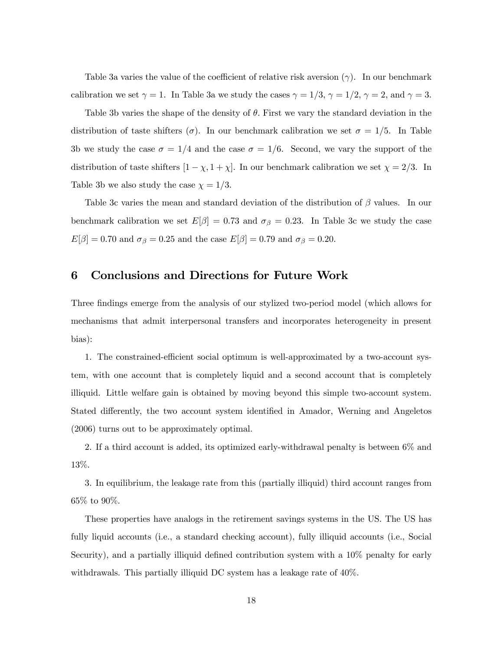Table 3a varies the value of the coefficient of relative risk aversion  $(\gamma)$ . In our benchmark calibration we set  $\gamma = 1$ . In Table 3a we study the cases  $\gamma = 1/3$ ,  $\gamma = 1/2$ ,  $\gamma = 2$ , and  $\gamma = 3$ .

Table 3b varies the shape of the density of  $\theta$ . First we vary the standard deviation in the distribution of taste shifters ( $\sigma$ ). In our benchmark calibration we set  $\sigma = 1/5$ . In Table 3b we study the case  $\sigma = 1/4$  and the case  $\sigma = 1/6$ . Second, we vary the support of the distribution of taste shifters  $[1 - \chi, 1 + \chi]$ . In our benchmark calibration we set  $\chi = 2/3$ . In Table 3b we also study the case  $\chi = 1/3$ .

Table 3c varies the mean and standard deviation of the distribution of  $\beta$  values. In our benchmark calibration we set  $E[\beta]=0.73$  and  $\sigma_{\beta}=0.23$ . In Table 3c we study the case  $E[\beta]=0.70$  and  $\sigma_{\beta}=0.25$  and the case  $E[\beta]=0.79$  and  $\sigma_{\beta}=0.20$ .

### 6 Conclusions and Directions for Future Work

Three findings emerge from the analysis of our stylized two-period model (which allows for mechanisms that admit interpersonal transfers and incorporates heterogeneity in present bias):

1. The constrained-efficient social optimum is well-approximated by a two-account system, with one account that is completely liquid and a second account that is completely illiquid. Little welfare gain is obtained by moving beyond this simple two-account system. Stated differently, the two account system identified in Amador, Werning and Angeletos (2006) turns out to be approximately optimal.

2. If a third account is added, its optimized early-withdrawal penalty is between 6% and 13%.

3. In equilibrium, the leakage rate from this (partially illiquid) third account ranges from 65% to 90%.

These properties have analogs in the retirement savings systems in the US. The US has fully liquid accounts (i.e., a standard checking account), fully illiquid accounts (i.e., Social Security), and a partially illiquid defined contribution system with a 10% penalty for early withdrawals. This partially illiquid DC system has a leakage rate of 40%.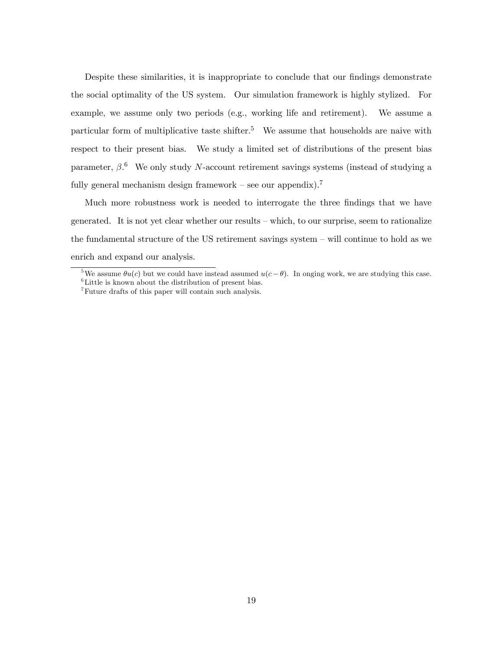Despite these similarities, it is inappropriate to conclude that our findings demonstrate the social optimality of the US system. Our simulation framework is highly stylized. For example, we assume only two periods (e.g., working life and retirement). We assume a particular form of multiplicative taste shifter.<sup>5</sup> We assume that households are naive with respect to their present bias. We study a limited set of distributions of the present bias parameter,  $\beta$ .<sup>6</sup> We only study N-account retirement savings systems (instead of studying a fully general mechanism design framework – see our appendix).<sup>7</sup>

Much more robustness work is needed to interrogate the three findings that we have generated. It is not yet clear whether our results — which, to our surprise, seem to rationalize the fundamental structure of the US retirement savings system — will continue to hold as we enrich and expand our analysis.

<sup>&</sup>lt;sup>5</sup>We assume  $\theta u(c)$  but we could have instead assumed  $u(c - \theta)$ . In onging work, we are studying this case. <sup>6</sup>Little is known about the distribution of present bias.

<sup>7</sup>Future drafts of this paper will contain such analysis.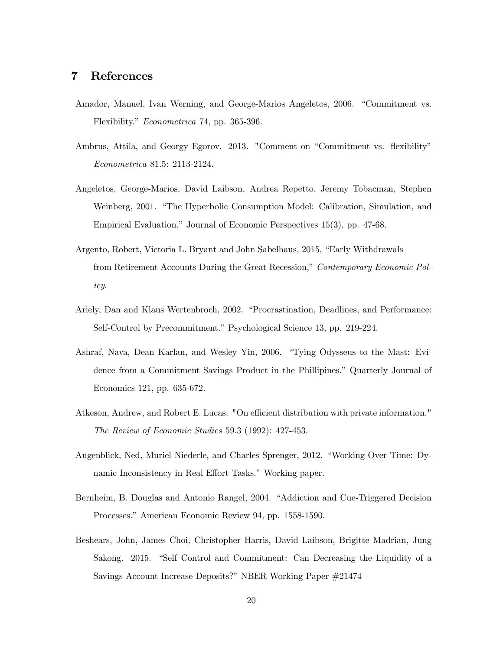### 7 References

- Amador, Manuel, Ivan Werning, and George-Marios Angeletos, 2006. "Commitment vs. Flexibility." Econometrica 74, pp. 365-396.
- Ambrus, Attila, and Georgy Egorov. 2013. "Comment on "Commitment vs. flexibility" Econometrica 81.5: 2113-2124.
- Angeletos, George-Marios, David Laibson, Andrea Repetto, Jeremy Tobacman, Stephen Weinberg, 2001. "The Hyperbolic Consumption Model: Calibration, Simulation, and Empirical Evaluation." Journal of Economic Perspectives 15(3), pp. 47-68.
- Argento, Robert, Victoria L. Bryant and John Sabelhaus, 2015, "Early Withdrawals from Retirement Accounts During the Great Recession," Contemporary Economic Policy.
- Ariely, Dan and Klaus Wertenbroch, 2002. "Procrastination, Deadlines, and Performance: Self-Control by Precommitment." Psychological Science 13, pp. 219-224.
- Ashraf, Nava, Dean Karlan, and Wesley Yin, 2006. "Tying Odysseus to the Mast: Evidence from a Commitment Savings Product in the Phillipines." Quarterly Journal of Economics 121, pp. 635-672.
- Atkeson, Andrew, and Robert E. Lucas. "On efficient distribution with private information." The Review of Economic Studies 59.3 (1992): 427-453.
- Augenblick, Ned, Muriel Niederle, and Charles Sprenger, 2012. "Working Over Time: Dynamic Inconsistency in Real Effort Tasks." Working paper.
- Bernheim, B. Douglas and Antonio Rangel, 2004. "Addiction and Cue-Triggered Decision Processes." American Economic Review 94, pp. 1558-1590.
- Beshears, John, James Choi, Christopher Harris, David Laibson, Brigitte Madrian, Jung Sakong. 2015. "Self Control and Commitment: Can Decreasing the Liquidity of a Savings Account Increase Deposits?" NBER Working Paper #21474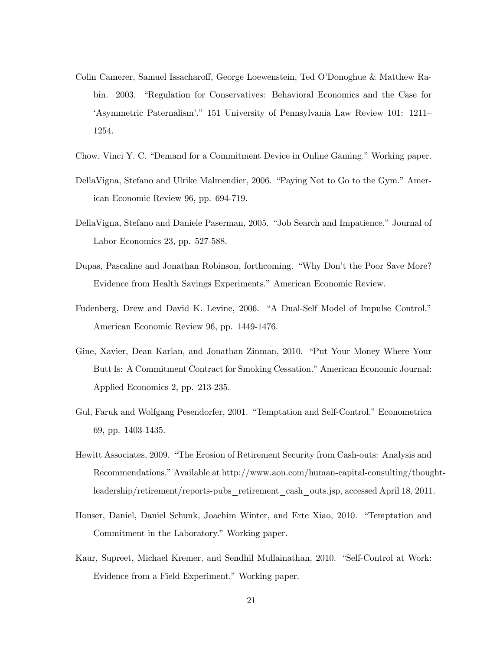- Colin Camerer, Samuel Issacharoff, George Loewenstein, Ted O'Donoghue & Matthew Rabin. 2003. "Regulation for Conservatives: Behavioral Economics and the Case for 'Asymmetric Paternalism'." 151 University of Pennsylvania Law Review 101: 1211— 1254.
- Chow, Vinci Y. C. "Demand for a Commitment Device in Online Gaming." Working paper.
- DellaVigna, Stefano and Ulrike Malmendier, 2006. "Paying Not to Go to the Gym." American Economic Review 96, pp. 694-719.
- DellaVigna, Stefano and Daniele Paserman, 2005. "Job Search and Impatience." Journal of Labor Economics 23, pp. 527-588.
- Dupas, Pascaline and Jonathan Robinson, forthcoming. "Why Don't the Poor Save More? Evidence from Health Savings Experiments." American Economic Review.
- Fudenberg, Drew and David K. Levine, 2006. "A Dual-Self Model of Impulse Control." American Economic Review 96, pp. 1449-1476.
- Gine, Xavier, Dean Karlan, and Jonathan Zinman, 2010. "Put Your Money Where Your Butt Is: A Commitment Contract for Smoking Cessation." American Economic Journal: Applied Economics 2, pp. 213-235.
- Gul, Faruk and Wolfgang Pesendorfer, 2001. "Temptation and Self-Control." Econometrica 69, pp. 1403-1435.
- Hewitt Associates, 2009. "The Erosion of Retirement Security from Cash-outs: Analysis and Recommendations." Available at http://www.aon.com/human-capital-consulting/thoughtleadership/retirement/reports-pubs\_retirement\_cash\_outs.jsp, accessed April 18, 2011.
- Houser, Daniel, Daniel Schunk, Joachim Winter, and Erte Xiao, 2010. "Temptation and Commitment in the Laboratory." Working paper.
- Kaur, Supreet, Michael Kremer, and Sendhil Mullainathan, 2010. "Self-Control at Work: Evidence from a Field Experiment." Working paper.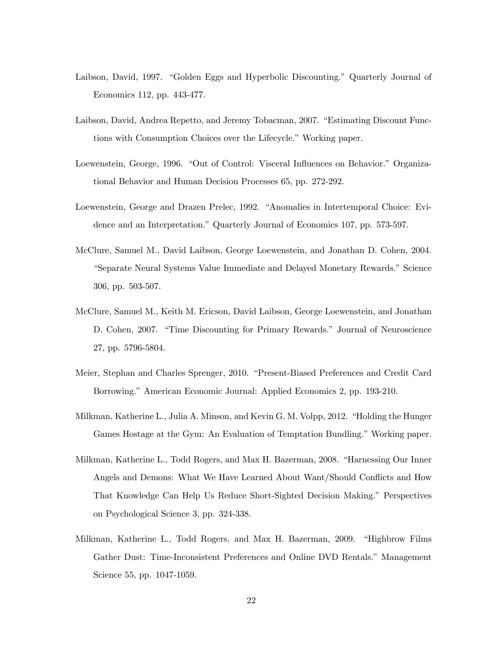- Laibson, David, 1997. "Golden Eggs and Hyperbolic Discounting." Quarterly Journal of Economics 112, pp. 443-477.
- Laibson, David, Andrea Repetto, and Jeremy Tobacman, 2007. "Estimating Discount Functions with Consumption Choices over the Lifecycle." Working paper.
- Loewenstein, George, 1996. "Out of Control: Visceral Influences on Behavior." Organizational Behavior and Human Decision Processes 65, pp. 272-292.
- Loewenstein, George and Drazen Prelec, 1992. "Anomalies in Intertemporal Choice: Evidence and an Interpretation." Quarterly Journal of Economics 107, pp. 573-597.
- McClure, Samuel M., David Laibson, George Loewenstein, and Jonathan D. Cohen, 2004. "Separate Neural Systems Value Immediate and Delayed Monetary Rewards." Science 306, pp. 503-507.
- McClure, Samuel M., Keith M. Ericson, David Laibson, George Loewenstein, and Jonathan D. Cohen, 2007. "Time Discounting for Primary Rewards." Journal of Neuroscience 27, pp. 5796-5804.
- Meier, Stephan and Charles Sprenger, 2010. "Present-Biased Preferences and Credit Card Borrowing." American Economic Journal: Applied Economics 2, pp. 193-210.
- Milkman, Katherine L., Julia A. Minson, and Kevin G. M. Volpp, 2012. "Holding the Hunger Games Hostage at the Gym: An Evaluation of Temptation Bundling." Working paper.
- Milkman, Katherine L., Todd Rogers, and Max H. Bazerman, 2008. "Harnessing Our Inner Angels and Demons: What We Have Learned About Want/Should Conflicts and How That Knowledge Can Help Us Reduce Short-Sighted Decision Making." Perspectives on Psychological Science 3, pp. 324-338.
- Milkman, Katherine L., Todd Rogers, and Max H. Bazerman, 2009. "Highbrow Films Gather Dust: Time-Inconsistent Preferences and Online DVD Rentals." Management Science 55, pp. 1047-1059.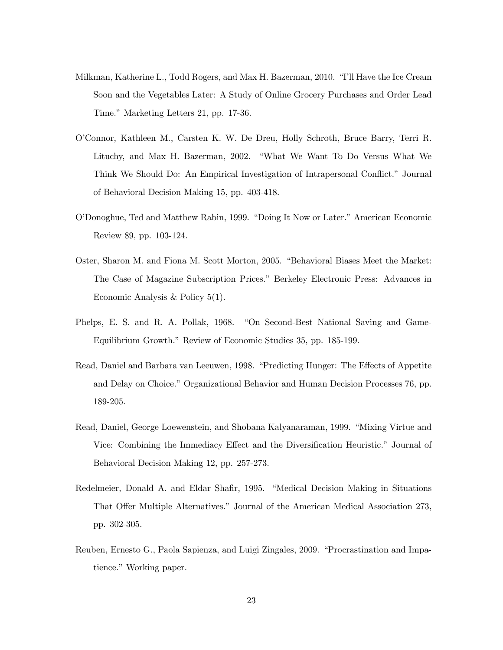- Milkman, Katherine L., Todd Rogers, and Max H. Bazerman, 2010. "I'll Have the Ice Cream Soon and the Vegetables Later: A Study of Online Grocery Purchases and Order Lead Time." Marketing Letters 21, pp. 17-36.
- O'Connor, Kathleen M., Carsten K. W. De Dreu, Holly Schroth, Bruce Barry, Terri R. Lituchy, and Max H. Bazerman, 2002. "What We Want To Do Versus What We Think We Should Do: An Empirical Investigation of Intrapersonal Conflict." Journal of Behavioral Decision Making 15, pp. 403-418.
- O'Donoghue, Ted and Matthew Rabin, 1999. "Doing It Now or Later." American Economic Review 89, pp. 103-124.
- Oster, Sharon M. and Fiona M. Scott Morton, 2005. "Behavioral Biases Meet the Market: The Case of Magazine Subscription Prices." Berkeley Electronic Press: Advances in Economic Analysis & Policy 5(1).
- Phelps, E. S. and R. A. Pollak, 1968. "On Second-Best National Saving and Game-Equilibrium Growth." Review of Economic Studies 35, pp. 185-199.
- Read, Daniel and Barbara van Leeuwen, 1998. "Predicting Hunger: The Effects of Appetite and Delay on Choice." Organizational Behavior and Human Decision Processes 76, pp. 189-205.
- Read, Daniel, George Loewenstein, and Shobana Kalyanaraman, 1999. "Mixing Virtue and Vice: Combining the Immediacy Effect and the Diversification Heuristic." Journal of Behavioral Decision Making 12, pp. 257-273.
- Redelmeier, Donald A. and Eldar Shafir, 1995. "Medical Decision Making in Situations That Offer Multiple Alternatives." Journal of the American Medical Association 273, pp. 302-305.
- Reuben, Ernesto G., Paola Sapienza, and Luigi Zingales, 2009. "Procrastination and Impatience." Working paper.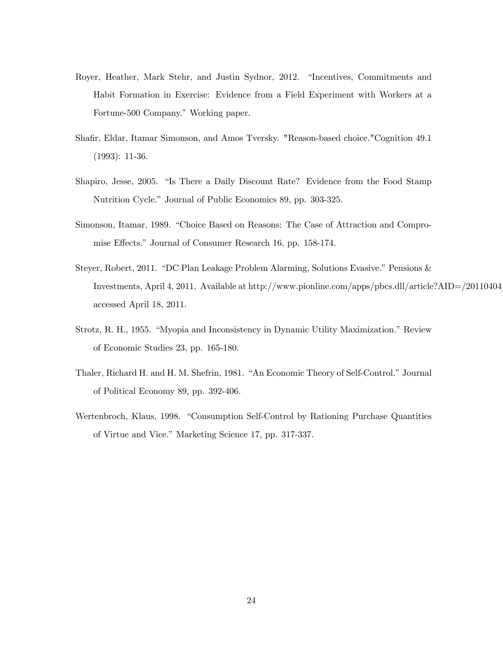- Royer, Heather, Mark Stehr, and Justin Sydnor, 2012. "Incentives, Commitments and Habit Formation in Exercise: Evidence from a Field Experiment with Workers at a Fortune-500 Company." Working paper.
- Shafir, Eldar, Itamar Simonson, and Amos Tversky. "Reason-based choice."Cognition 49.1 (1993): 11-36.
- Shapiro, Jesse, 2005. "Is There a Daily Discount Rate? Evidence from the Food Stamp Nutrition Cycle." Journal of Public Economics 89, pp. 303-325.
- Simonson, Itamar, 1989. "Choice Based on Reasons: The Case of Attraction and Compromise Effects." Journal of Consumer Research 16, pp. 158-174.
- Steyer, Robert, 2011. "DC Plan Leakage Problem Alarming, Solutions Evasive." Pensions & Investments, April 4, 2011. Available at http://www.pionline.com/apps/pbcs.dll/article?AID=/20110404/ accessed April 18, 2011.
- Strotz, R. H., 1955. "Myopia and Inconsistency in Dynamic Utility Maximization." Review of Economic Studies 23, pp. 165-180.
- Thaler, Richard H. and H. M. Shefrin, 1981. "An Economic Theory of Self-Control." Journal of Political Economy 89, pp. 392-406.
- Wertenbroch, Klaus, 1998. "Consumption Self-Control by Rationing Purchase Quantities of Virtue and Vice." Marketing Science 17, pp. 317-337.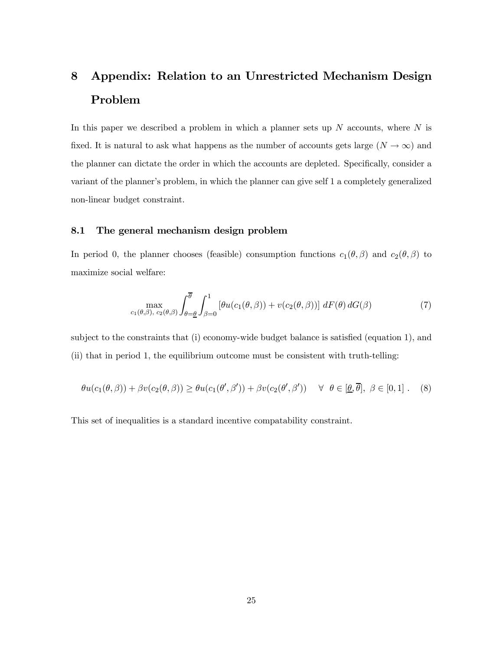# 8 Appendix: Relation to an Unrestricted Mechanism Design Problem

In this paper we described a problem in which a planner sets up  $N$  accounts, where  $N$  is fixed. It is natural to ask what happens as the number of accounts gets large  $(N \to \infty)$  and the planner can dictate the order in which the accounts are depleted. Specifically, consider a variant of the planner's problem, in which the planner can give self 1 a completely generalized non-linear budget constraint.

### 8.1 The general mechanism design problem

In period 0, the planner chooses (feasible) consumption functions  $c_1(\theta, \beta)$  and  $c_2(\theta, \beta)$  to maximize social welfare:

$$
\max_{c_1(\theta,\beta),\ c_2(\theta,\beta)} \int_{\theta=\underline{\theta}}^{\overline{\theta}} \int_{\beta=0}^1 \left[ \theta u(c_1(\theta,\beta)) + v(c_2(\theta,\beta)) \right] dF(\theta) dG(\beta) \tag{7}
$$

subject to the constraints that (i) economy-wide budget balance is satisfied (equation 1), and (ii) that in period 1, the equilibrium outcome must be consistent with truth-telling:

$$
\theta u(c_1(\theta, \beta)) + \beta v(c_2(\theta, \beta)) \ge \theta u(c_1(\theta', \beta')) + \beta v(c_2(\theta', \beta')) \quad \forall \ \theta \in [\underline{\theta}, \overline{\theta}], \ \beta \in [0, 1]. \tag{8}
$$

This set of inequalities is a standard incentive compatability constraint.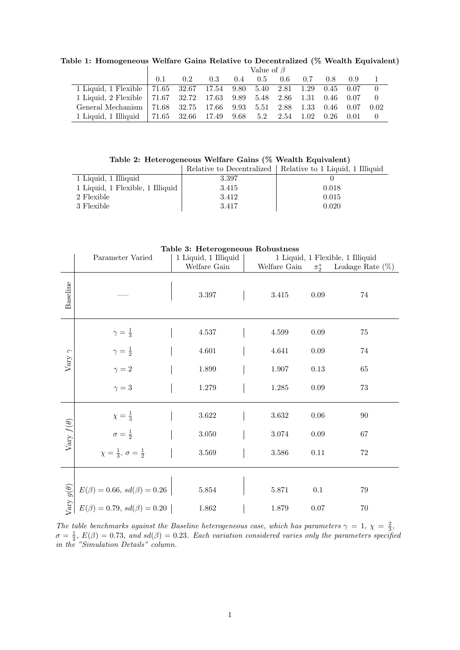|                                                                        | Value of $\beta$ |               |     |               |  |                      |     |               |      |      |
|------------------------------------------------------------------------|------------------|---------------|-----|---------------|--|----------------------|-----|---------------|------|------|
|                                                                        | 0.1              | $0.2^{\circ}$ | 0.3 | $0.4^{\circ}$ |  | $0.5\phantom{00}0.6$ | 0.7 | $0.8^{\circ}$ | 0.9  |      |
| 1 Liquid, 1 Flexible   71.65 32.67 17.54 9.80 5.40 2.81 1.29 0.45 0.07 |                  |               |     |               |  |                      |     |               |      |      |
| 1 Liquid, 2 Flexible 71.67 32.72 17.63 9.89 5.48 2.86 1.31 0.46 0.07   |                  |               |     |               |  |                      |     |               |      |      |
| General Mechanism   71.68 32.75 17.66 9.93 5.51 2.88 1.33 0.46         |                  |               |     |               |  |                      |     |               | 0.07 | 0.02 |
| 1 Liquid, 1 Illiquid   71.65 32.66 17.49 9.68 5.2 2.54 1.02            |                  |               |     |               |  |                      |     | 0.26          | 0.01 |      |

Table 1: Homogeneous Welfare Gains Relative to Decentralized (% Wealth Equivalent)

Table 2: Heterogeneous Welfare Gains (% Wealth Equivalent)

|                                  |       | Relative to Decentralized   Relative to 1 Liquid, 1 Illiquid |
|----------------------------------|-------|--------------------------------------------------------------|
| 1 Liquid, 1 Illiquid             | 3.397 |                                                              |
| 1 Liquid, 1 Flexible, 1 Illiquid | 3.415 | 0.018                                                        |
| 2 Flexible                       | 3.412 | 0.015                                                        |
| 3 Flexible                       | 3.417 | 0.020                                                        |

| Table 3: Heterogeneous Robustness |                                                                            |                      |              |                                  |                     |  |  |
|-----------------------------------|----------------------------------------------------------------------------|----------------------|--------------|----------------------------------|---------------------|--|--|
|                                   | Parameter Varied                                                           | 1 Liquid, 1 Illiquid |              | 1 Liquid, 1 Flexible, 1 Illiquid |                     |  |  |
|                                   |                                                                            | Welfare Gain         | Welfare Gain | $\pi_2^*$                        | Leakage Rate $(\%)$ |  |  |
| Baseline                          |                                                                            | $3.397\,$            | 3.415        | 0.09                             | 74                  |  |  |
| Vary $\gamma$                     | $\gamma=\frac{1}{3}$                                                       | 4.537                | 4.599        | $0.09\,$                         | 75                  |  |  |
|                                   | $\gamma = \frac{1}{2}$                                                     | $4.601\,$            | 4.641        | 0.09                             | 74                  |  |  |
|                                   | $\gamma = 2$                                                               | 1.899                | 1.907        | 0.13                             | 65                  |  |  |
|                                   | $\gamma = 3$                                                               | $1.279\,$            | $1.285\,$    | 0.09                             | 73                  |  |  |
| Vary $f(\theta)$                  | $\chi=\frac{1}{3}$                                                         | $3.622\,$            | $3.632\,$    | 0.06                             | 90                  |  |  |
|                                   | $\sigma = \frac{1}{2}$                                                     | $3.050\,$            | $3.074\,$    | 0.09                             | 67                  |  |  |
|                                   | $\chi = \frac{1}{3}, \sigma = \frac{1}{2}$                                 | $3.569\,$            | $3.586\,$    | 0.11                             | $72\,$              |  |  |
|                                   |                                                                            |                      |              |                                  |                     |  |  |
| Vary $g(\theta)$                  | $E(\beta) = 0.66, sd(\beta) = 0.26$<br>$E(\beta) = 0.79, sd(\beta) = 0.20$ | $5.854\,$            | 5.871        | $0.1\,$                          | 79                  |  |  |
|                                   |                                                                            | $1.862\,$            | 1.879        | 0.07                             | 70                  |  |  |

The table benchmarks against the Baseline heterogeneous case, which has parameters  $\gamma = 1, \chi = \frac{2}{3}$ ,  $\sigma = \frac{1}{2}$ ,  $E(\beta) = 0.73$ , and sd $(\beta) = 0.23$ . Each variation considered varies only the parameters specified in the "Simulation Details" column.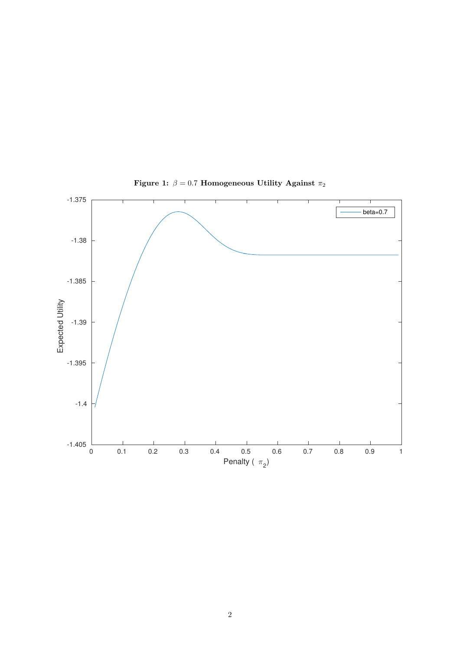

Figure 1:  $\beta=0.7$  Homogeneous Utility Against  $\pi_2$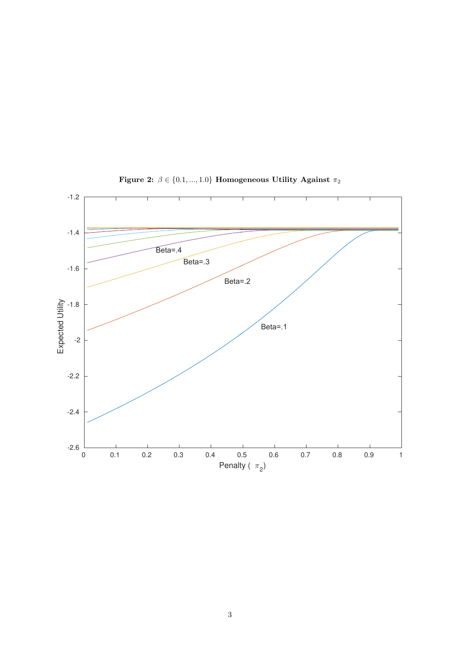

Figure 2:  $\beta \in \{0.1, ..., 1.0\}$  Homogeneous Utility Against  $\pi_2$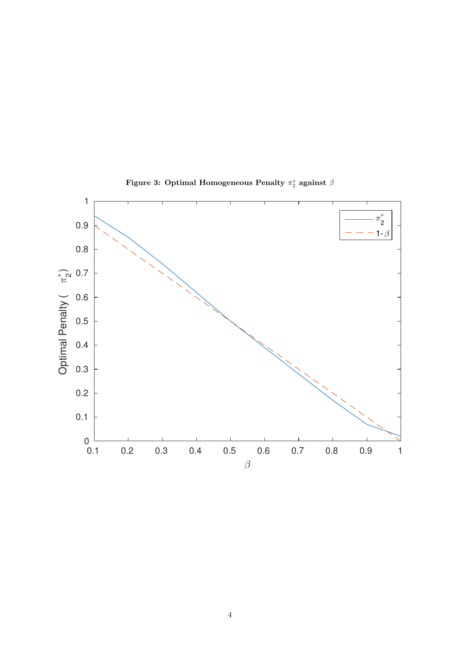

Figure 3: Optimal Homogeneous Penalty  $\pi_2^*$  against  $\beta$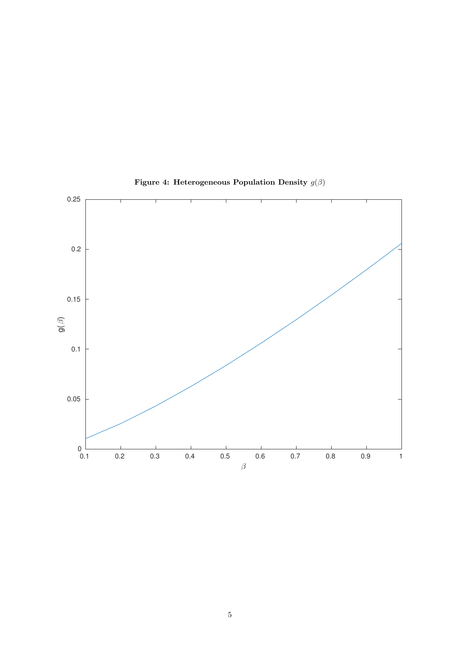

Figure 4: Heterogeneous Population Density  $g(\beta)$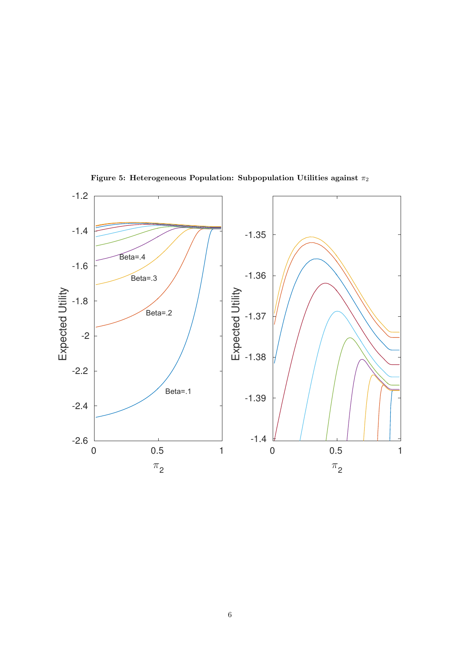

Figure 5: Heterogeneous Population: Subpopulation Utilities against  $\pi_2$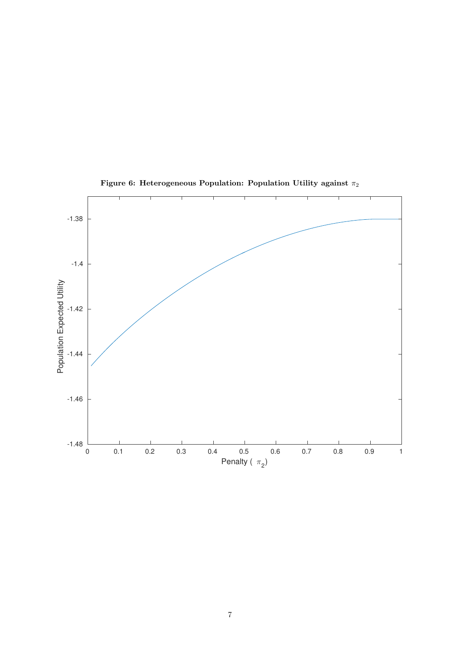

Figure 6: Heterogeneous Population: Population Utility against  $\pi_2$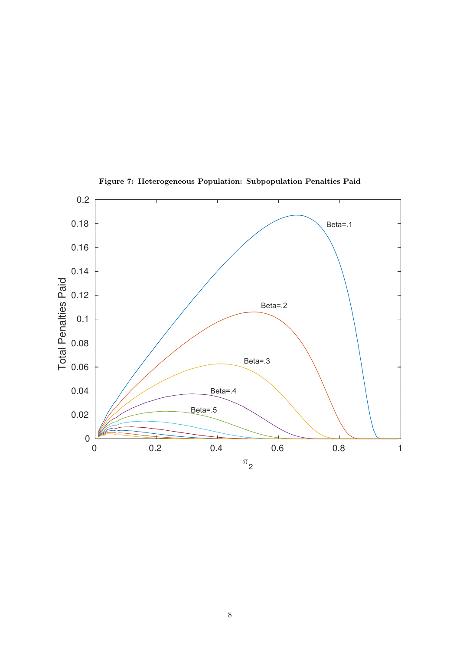

Figure 7: Heterogeneous Population: Subpopulation Penalties Paid